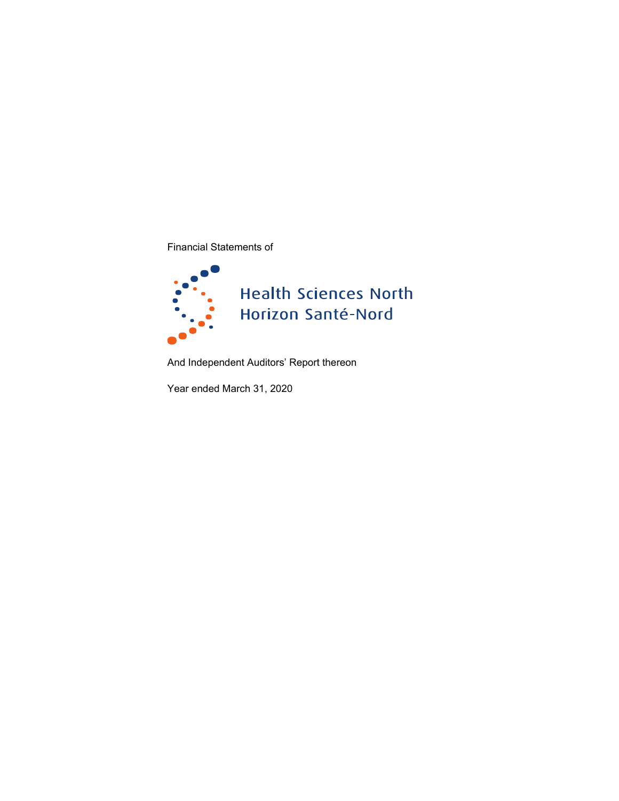Financial Statements of



And Independent Auditors' Report thereon

Year ended March 31, 2020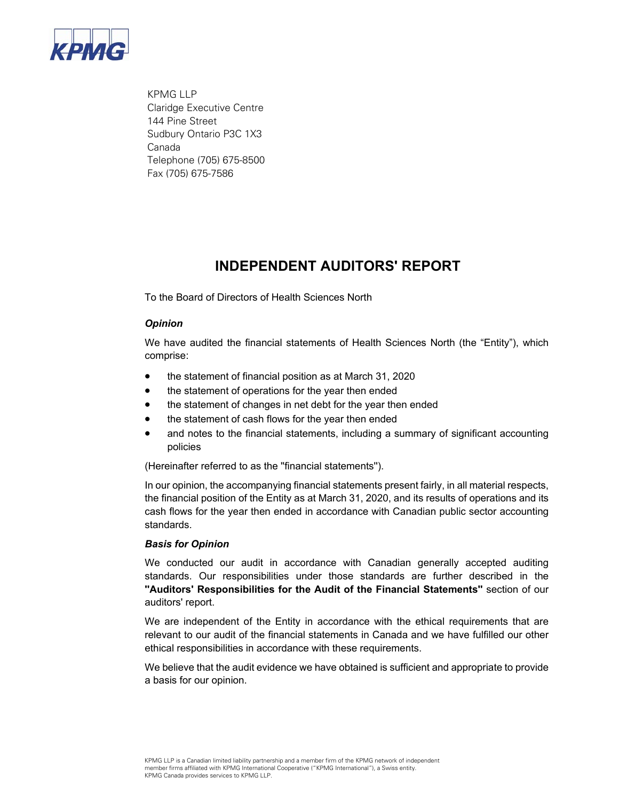

 KPMG LLP Claridge Executive Centre 144 Pine Street Sudbury Ontario P3C 1X3 Canada Telephone (705) 675-8500 Fax (705) 675-7586

### **INDEPENDENT AUDITORS' REPORT**

To the Board of Directors of Health Sciences North

#### *Opinion*

We have audited the financial statements of Health Sciences North (the "Entity"), which comprise:

- the statement of financial position as at March 31, 2020
- the statement of operations for the year then ended
- the statement of changes in net debt for the year then ended
- the statement of cash flows for the year then ended
- and notes to the financial statements, including a summary of significant accounting policies

(Hereinafter referred to as the ''financial statements'').

In our opinion, the accompanying financial statements present fairly, in all material respects, the financial position of the Entity as at March 31, 2020, and its results of operations and its cash flows for the year then ended in accordance with Canadian public sector accounting standards.

#### *Basis for Opinion*

We conducted our audit in accordance with Canadian generally accepted auditing standards. Our responsibilities under those standards are further described in the **''Auditors' Responsibilities for the Audit of the Financial Statements''** section of our auditors' report.

We are independent of the Entity in accordance with the ethical requirements that are relevant to our audit of the financial statements in Canada and we have fulfilled our other ethical responsibilities in accordance with these requirements.

We believe that the audit evidence we have obtained is sufficient and appropriate to provide a basis for our opinion.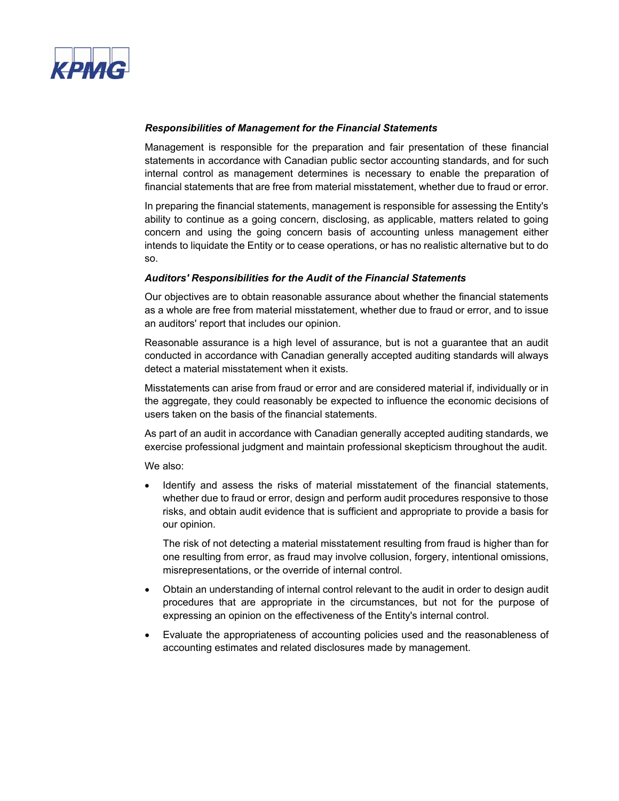

#### *Responsibilities of Management for the Financial Statements*

Management is responsible for the preparation and fair presentation of these financial statements in accordance with Canadian public sector accounting standards, and for such internal control as management determines is necessary to enable the preparation of financial statements that are free from material misstatement, whether due to fraud or error.

In preparing the financial statements, management is responsible for assessing the Entity's ability to continue as a going concern, disclosing, as applicable, matters related to going concern and using the going concern basis of accounting unless management either intends to liquidate the Entity or to cease operations, or has no realistic alternative but to do so.

#### *Auditors' Responsibilities for the Audit of the Financial Statements*

Our objectives are to obtain reasonable assurance about whether the financial statements as a whole are free from material misstatement, whether due to fraud or error, and to issue an auditors' report that includes our opinion.

Reasonable assurance is a high level of assurance, but is not a guarantee that an audit conducted in accordance with Canadian generally accepted auditing standards will always detect a material misstatement when it exists.

Misstatements can arise from fraud or error and are considered material if, individually or in the aggregate, they could reasonably be expected to influence the economic decisions of users taken on the basis of the financial statements.

As part of an audit in accordance with Canadian generally accepted auditing standards, we exercise professional judgment and maintain professional skepticism throughout the audit.

We also:

 Identify and assess the risks of material misstatement of the financial statements, whether due to fraud or error, design and perform audit procedures responsive to those risks, and obtain audit evidence that is sufficient and appropriate to provide a basis for our opinion.

The risk of not detecting a material misstatement resulting from fraud is higher than for one resulting from error, as fraud may involve collusion, forgery, intentional omissions, misrepresentations, or the override of internal control.

- Obtain an understanding of internal control relevant to the audit in order to design audit procedures that are appropriate in the circumstances, but not for the purpose of expressing an opinion on the effectiveness of the Entity's internal control.
- Evaluate the appropriateness of accounting policies used and the reasonableness of accounting estimates and related disclosures made by management.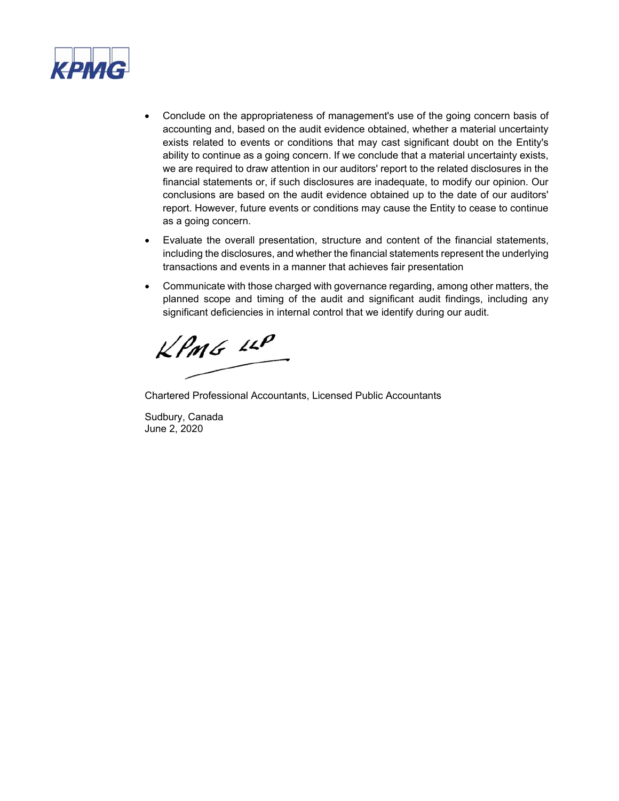

- Conclude on the appropriateness of management's use of the going concern basis of accounting and, based on the audit evidence obtained, whether a material uncertainty exists related to events or conditions that may cast significant doubt on the Entity's ability to continue as a going concern. If we conclude that a material uncertainty exists, we are required to draw attention in our auditors' report to the related disclosures in the financial statements or, if such disclosures are inadequate, to modify our opinion. Our conclusions are based on the audit evidence obtained up to the date of our auditors' report. However, future events or conditions may cause the Entity to cease to continue as a going concern.
- Evaluate the overall presentation, structure and content of the financial statements, including the disclosures, and whether the financial statements represent the underlying transactions and events in a manner that achieves fair presentation
- Communicate with those charged with governance regarding, among other matters, the planned scope and timing of the audit and significant audit findings, including any significant deficiencies in internal control that we identify during our audit.

 $KPMG$  11P

Chartered Professional Accountants, Licensed Public Accountants

Sudbury, Canada June 2, 2020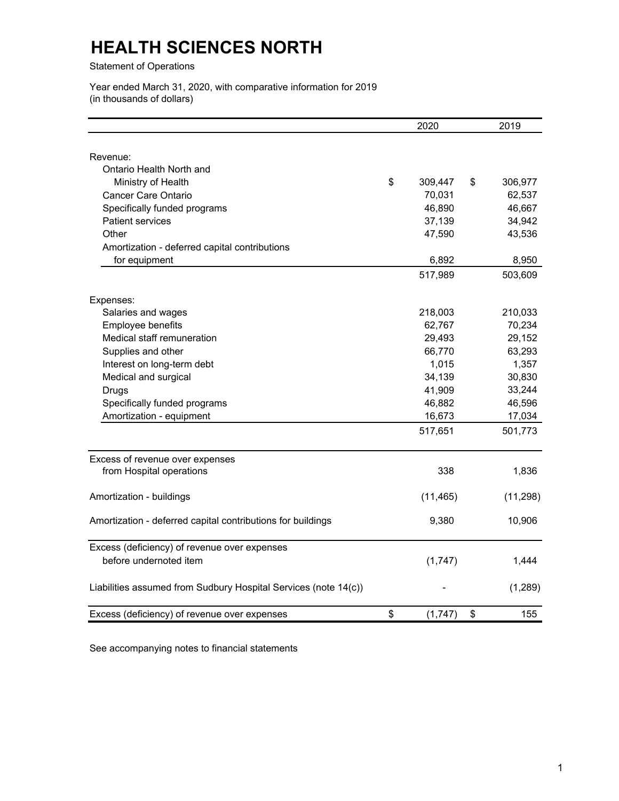Statement of Operations

Year ended March 31, 2020, with comparative information for 2019 (in thousands of dollars)

|                                                                 | 2020          | 2019          |
|-----------------------------------------------------------------|---------------|---------------|
|                                                                 |               |               |
| Revenue:                                                        |               |               |
| Ontario Health North and                                        |               |               |
| Ministry of Health                                              | \$<br>309,447 | \$<br>306,977 |
| <b>Cancer Care Ontario</b>                                      | 70,031        | 62,537        |
| Specifically funded programs                                    | 46,890        | 46,667        |
| <b>Patient services</b>                                         | 37,139        | 34,942        |
| Other                                                           | 47,590        | 43,536        |
| Amortization - deferred capital contributions                   |               |               |
| for equipment                                                   | 6,892         | 8,950         |
|                                                                 | 517,989       | 503,609       |
| Expenses:                                                       |               |               |
| Salaries and wages                                              | 218,003       | 210,033       |
| Employee benefits                                               | 62,767        | 70,234        |
| Medical staff remuneration                                      | 29,493        | 29,152        |
| Supplies and other                                              | 66,770        | 63,293        |
| Interest on long-term debt                                      | 1,015         | 1,357         |
| Medical and surgical                                            | 34,139        | 30,830        |
| Drugs                                                           | 41,909        | 33,244        |
| Specifically funded programs                                    | 46,882        | 46,596        |
| Amortization - equipment                                        | 16,673        | 17,034        |
|                                                                 | 517,651       | 501,773       |
| Excess of revenue over expenses                                 |               |               |
| from Hospital operations                                        | 338           | 1,836         |
| Amortization - buildings                                        | (11, 465)     | (11, 298)     |
| Amortization - deferred capital contributions for buildings     | 9,380         | 10,906        |
|                                                                 |               |               |
| Excess (deficiency) of revenue over expenses                    |               |               |
| before undernoted item                                          | (1,747)       | 1,444         |
| Liabilities assumed from Sudbury Hospital Services (note 14(c)) |               | (1, 289)      |
| Excess (deficiency) of revenue over expenses                    | \$<br>(1,747) | \$<br>155     |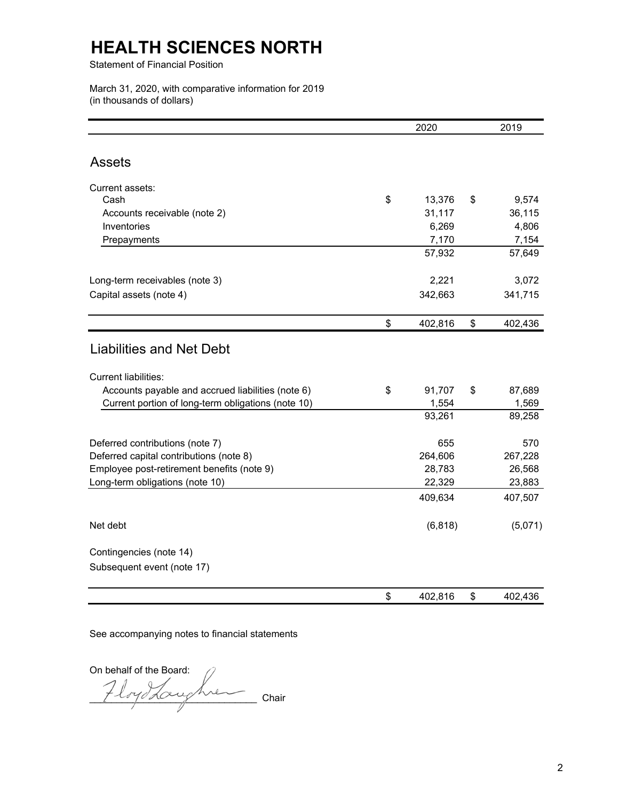Statement of Financial Position

March 31, 2020, with comparative information for 2019 (in thousands of dollars)

|                                                    | 2020          | 2019          |
|----------------------------------------------------|---------------|---------------|
|                                                    |               |               |
| <b>Assets</b>                                      |               |               |
| Current assets:                                    |               |               |
| Cash                                               | \$<br>13,376  | \$<br>9,574   |
| Accounts receivable (note 2)                       | 31,117        | 36,115        |
| Inventories                                        | 6,269         | 4,806         |
| Prepayments                                        | 7,170         | 7,154         |
|                                                    | 57,932        | 57,649        |
| Long-term receivables (note 3)                     | 2,221         | 3,072         |
| Capital assets (note 4)                            | 342,663       | 341,715       |
|                                                    | \$<br>402,816 | \$<br>402,436 |
|                                                    |               |               |
| <b>Liabilities and Net Debt</b>                    |               |               |
| <b>Current liabilities:</b>                        |               |               |
| Accounts payable and accrued liabilities (note 6)  | \$<br>91,707  | \$<br>87,689  |
| Current portion of long-term obligations (note 10) | 1,554         | 1,569         |
|                                                    | 93,261        | 89,258        |
| Deferred contributions (note 7)                    | 655           | 570           |
| Deferred capital contributions (note 8)            | 264,606       | 267,228       |
| Employee post-retirement benefits (note 9)         | 28,783        | 26,568        |
| Long-term obligations (note 10)                    | 22,329        | 23,883        |
|                                                    | 409,634       | 407,507       |
| Net debt                                           | (6, 818)      | (5,071)       |
|                                                    |               |               |
| Contingencies (note 14)                            |               |               |
| Subsequent event (note 17)                         |               |               |
|                                                    | \$<br>402,816 | \$<br>402,436 |

On behalf of the Board: Floyd Lougher Chair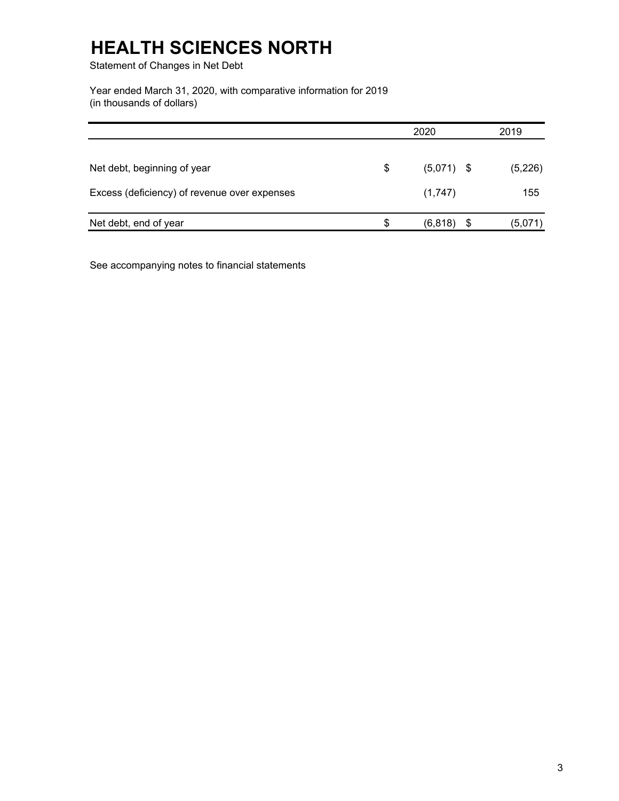Statement of Changes in Net Debt

Year ended March 31, 2020, with comparative information for 2019 (in thousands of dollars)

|                                              | 2020               | 2019 |         |
|----------------------------------------------|--------------------|------|---------|
|                                              |                    |      |         |
| Net debt, beginning of year                  | \$<br>$(5,071)$ \$ |      | (5,226) |
| Excess (deficiency) of revenue over expenses | (1,747)            |      | 155     |
| Net debt, end of year                        | \$<br>(6, 818)     | - \$ | (5,071) |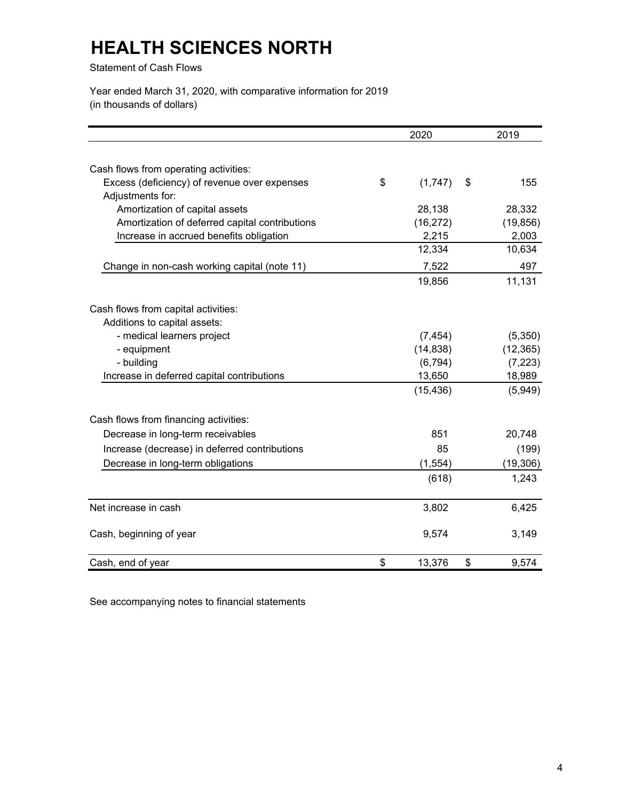Statement of Cash Flows

Year ended March 31, 2020, with comparative information for 2019 (in thousands of dollars)

|                                                                  | 2020                | 2019      |
|------------------------------------------------------------------|---------------------|-----------|
|                                                                  |                     |           |
| Cash flows from operating activities:                            |                     |           |
| Excess (deficiency) of revenue over expenses<br>Adjustments for: | \$<br>(1,747)<br>\$ | 155       |
| Amortization of capital assets                                   | 28,138              | 28,332    |
| Amortization of deferred capital contributions                   | (16, 272)           | (19, 856) |
| Increase in accrued benefits obligation                          | 2,215               | 2,003     |
|                                                                  | 12,334              | 10,634    |
| Change in non-cash working capital (note 11)                     | 7,522               | 497       |
|                                                                  | 19,856              | 11,131    |
| Cash flows from capital activities:                              |                     |           |
| Additions to capital assets:                                     |                     |           |
| - medical learners project                                       | (7, 454)            | (5,350)   |
| - equipment                                                      | (14, 838)           | (12, 365) |
| - building                                                       | (6, 794)            | (7, 223)  |
| Increase in deferred capital contributions                       | 13,650              | 18,989    |
|                                                                  | (15, 436)           | (5,949)   |
| Cash flows from financing activities:                            |                     |           |
| Decrease in long-term receivables                                | 851                 | 20,748    |
| Increase (decrease) in deferred contributions                    | 85                  | (199)     |
| Decrease in long-term obligations                                | (1, 554)            | (19, 306) |
|                                                                  | (618)               | 1,243     |
| Net increase in cash                                             | 3,802               | 6,425     |
| Cash, beginning of year                                          | 9,574               | 3,149     |
| Cash, end of year                                                | \$<br>\$<br>13,376  | 9,574     |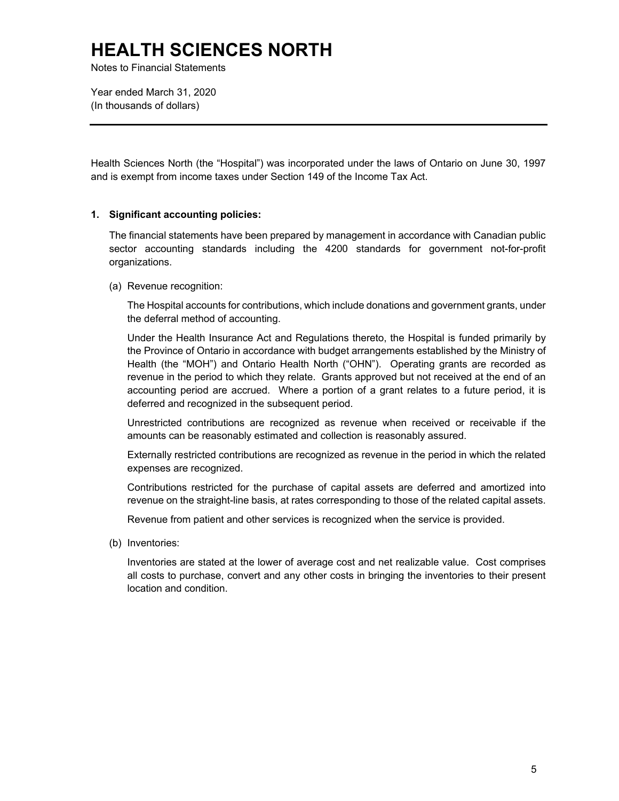Notes to Financial Statements

Year ended March 31, 2020 (In thousands of dollars)

Health Sciences North (the "Hospital") was incorporated under the laws of Ontario on June 30, 1997 and is exempt from income taxes under Section 149 of the Income Tax Act.

#### **1. Significant accounting policies:**

The financial statements have been prepared by management in accordance with Canadian public sector accounting standards including the 4200 standards for government not-for-profit organizations.

(a) Revenue recognition:

The Hospital accounts for contributions, which include donations and government grants, under the deferral method of accounting.

Under the Health Insurance Act and Regulations thereto, the Hospital is funded primarily by the Province of Ontario in accordance with budget arrangements established by the Ministry of Health (the "MOH") and Ontario Health North ("OHN"). Operating grants are recorded as revenue in the period to which they relate. Grants approved but not received at the end of an accounting period are accrued. Where a portion of a grant relates to a future period, it is deferred and recognized in the subsequent period.

Unrestricted contributions are recognized as revenue when received or receivable if the amounts can be reasonably estimated and collection is reasonably assured.

Externally restricted contributions are recognized as revenue in the period in which the related expenses are recognized.

Contributions restricted for the purchase of capital assets are deferred and amortized into revenue on the straight-line basis, at rates corresponding to those of the related capital assets.

Revenue from patient and other services is recognized when the service is provided.

(b) Inventories:

Inventories are stated at the lower of average cost and net realizable value. Cost comprises all costs to purchase, convert and any other costs in bringing the inventories to their present location and condition.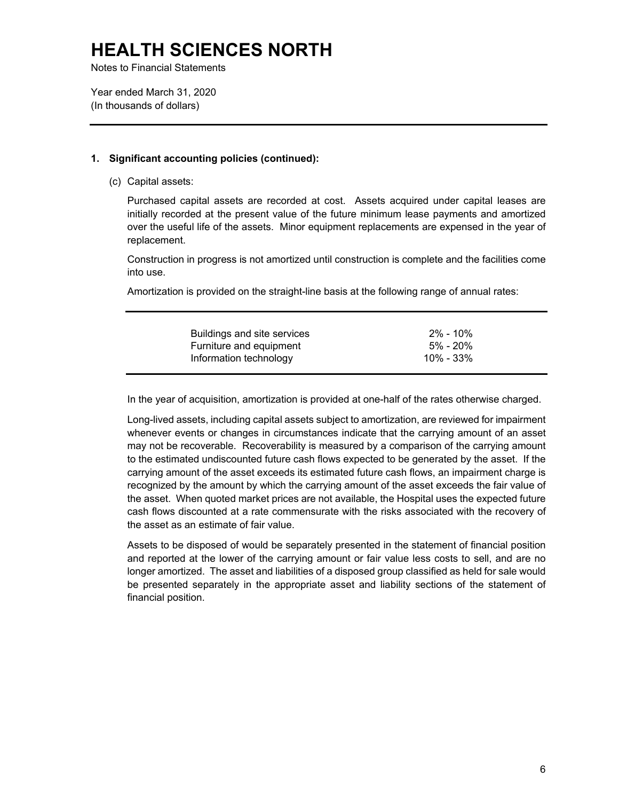Notes to Financial Statements

Year ended March 31, 2020 (In thousands of dollars)

#### **1. Significant accounting policies (continued):**

(c) Capital assets:

Purchased capital assets are recorded at cost. Assets acquired under capital leases are initially recorded at the present value of the future minimum lease payments and amortized over the useful life of the assets. Minor equipment replacements are expensed in the year of replacement.

Construction in progress is not amortized until construction is complete and the facilities come into use.

Amortization is provided on the straight-line basis at the following range of annual rates:

| Buildings and site services | $2\%$ - 10% |
|-----------------------------|-------------|
| Furniture and equipment     | 5% - 20%    |
| Information technology      | 10% - 33%   |

In the year of acquisition, amortization is provided at one-half of the rates otherwise charged.

Long-lived assets, including capital assets subject to amortization, are reviewed for impairment whenever events or changes in circumstances indicate that the carrying amount of an asset may not be recoverable. Recoverability is measured by a comparison of the carrying amount to the estimated undiscounted future cash flows expected to be generated by the asset. If the carrying amount of the asset exceeds its estimated future cash flows, an impairment charge is recognized by the amount by which the carrying amount of the asset exceeds the fair value of the asset. When quoted market prices are not available, the Hospital uses the expected future cash flows discounted at a rate commensurate with the risks associated with the recovery of the asset as an estimate of fair value.

Assets to be disposed of would be separately presented in the statement of financial position and reported at the lower of the carrying amount or fair value less costs to sell, and are no longer amortized. The asset and liabilities of a disposed group classified as held for sale would be presented separately in the appropriate asset and liability sections of the statement of financial position.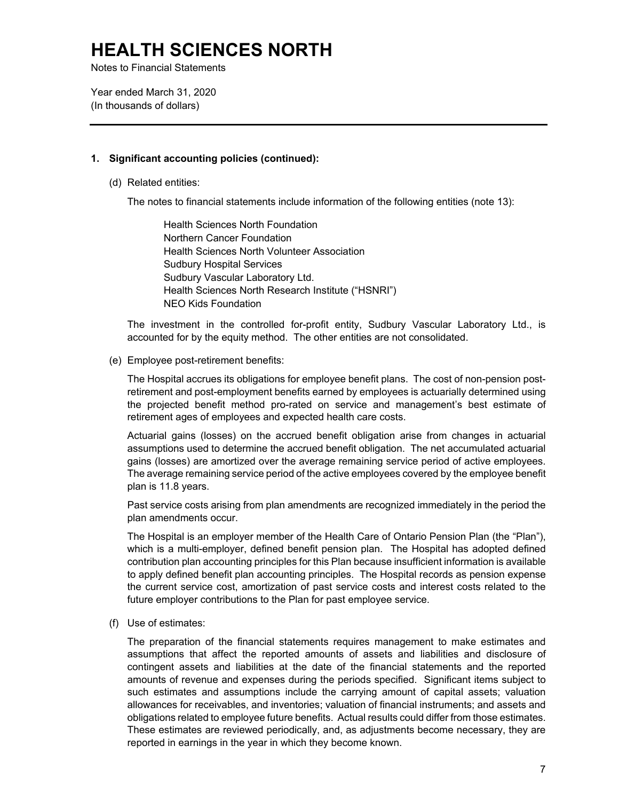Notes to Financial Statements

Year ended March 31, 2020 (In thousands of dollars)

#### **1. Significant accounting policies (continued):**

(d) Related entities:

The notes to financial statements include information of the following entities (note 13):

Health Sciences North Research Institute ("HSNRI")<br>NEO Kids Foundation Health Sciences North Foundation Northern Cancer Foundation Health Sciences North Volunteer Association Sudbury Hospital Services Sudbury Vascular Laboratory Ltd.

The investment in the controlled for-profit entity, Sudbury Vascular Laboratory Ltd., is accounted for by the equity method. The other entities are not consolidated.

#### (e) Employee post-retirement benefits:

The Hospital accrues its obligations for employee benefit plans. The cost of non-pension postretirement and post-employment benefits earned by employees is actuarially determined using the projected benefit method pro-rated on service and management's best estimate of retirement ages of employees and expected health care costs.

Actuarial gains (losses) on the accrued benefit obligation arise from changes in actuarial assumptions used to determine the accrued benefit obligation. The net accumulated actuarial gains (losses) are amortized over the average remaining service period of active employees. The average remaining service period of the active employees covered by the employee benefit plan is 11.8 years.

Past service costs arising from plan amendments are recognized immediately in the period the plan amendments occur.

The Hospital is an employer member of the Health Care of Ontario Pension Plan (the "Plan"), which is a multi-employer, defined benefit pension plan. The Hospital has adopted defined contribution plan accounting principles for this Plan because insufficient information is available to apply defined benefit plan accounting principles. The Hospital records as pension expense the current service cost, amortization of past service costs and interest costs related to the future employer contributions to the Plan for past employee service.

(f) Use of estimates:

obligations related to employee future benefits. Actual results could differ from those estimates. The preparation of the financial statements requires management to make estimates and assumptions that affect the reported amounts of assets and liabilities and disclosure of contingent assets and liabilities at the date of the financial statements and the reported amounts of revenue and expenses during the periods specified. Significant items subject to such estimates and assumptions include the carrying amount of capital assets; valuation allowances for receivables, and inventories; valuation of financial instruments; and assets and These estimates are reviewed periodically, and, as adjustments become necessary, they are reported in earnings in the year in which they become known.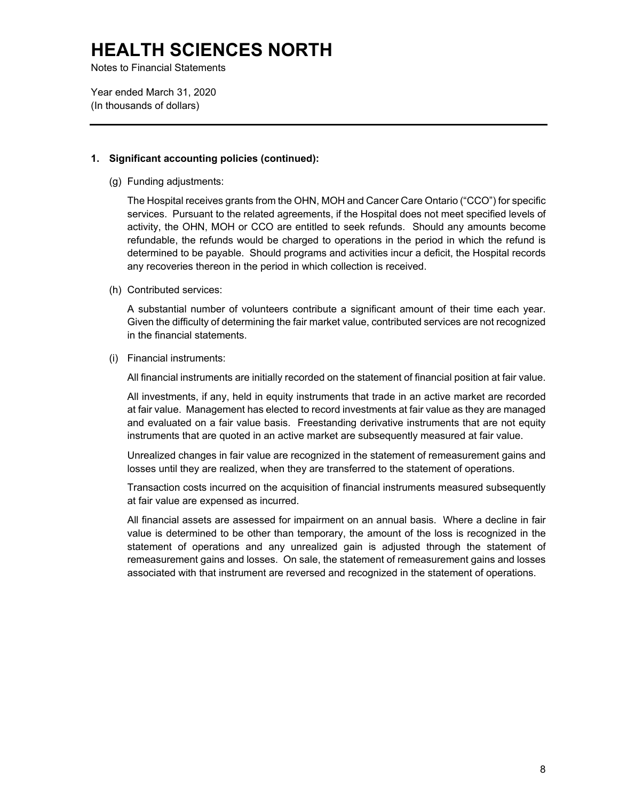Notes to Financial Statements

Year ended March 31, 2020 (In thousands of dollars)

#### **1. Significant accounting policies (continued):**

(g) Funding adjustments:

The Hospital receives grants from the OHN, MOH and Cancer Care Ontario ("CCO") for specific services. Pursuant to the related agreements, if the Hospital does not meet specified levels of activity, the OHN, MOH or CCO are entitled to seek refunds. Should any amounts become refundable, the refunds would be charged to operations in the period in which the refund is determined to be payable. Should programs and activities incur a deficit, the Hospital records any recoveries thereon in the period in which collection is received.

(h) Contributed services:

A substantial number of volunteers contribute a significant amount of their time each year. Given the difficulty of determining the fair market value, contributed services are not recognized in the financial statements.

(i) Financial instruments:

All financial instruments are initially recorded on the statement of financial position at fair value.

All investments, if any, held in equity instruments that trade in an active market are recorded at fair value. Management has elected to record investments at fair value as they are managed and evaluated on a fair value basis. Freestanding derivative instruments that are not equity instruments that are quoted in an active market are subsequently measured at fair value.

Unrealized changes in fair value are recognized in the statement of remeasurement gains and losses until they are realized, when they are transferred to the statement of operations.

Transaction costs incurred on the acquisition of financial instruments measured subsequently at fair value are expensed as incurred.

All financial assets are assessed for impairment on an annual basis. Where a decline in fair value is determined to be other than temporary, the amount of the loss is recognized in the statement of operations and any unrealized gain is adjusted through the statement of remeasurement gains and losses. On sale, the statement of remeasurement gains and losses associated with that instrument are reversed and recognized in the statement of operations.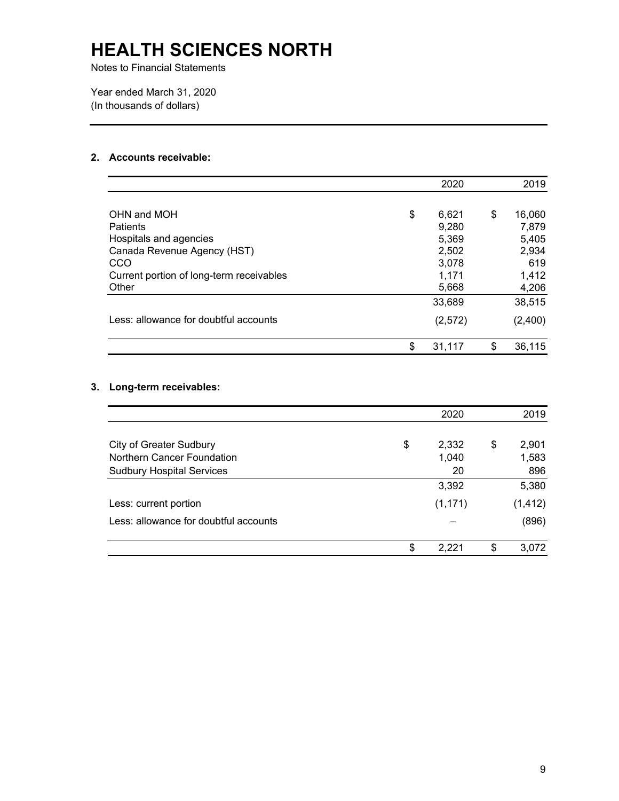Notes to Financial Statements

Year ended March 31, 2020 (In thousands of dollars)

### **2. Accounts receivable:**

|                                          | 2020         | 2019         |
|------------------------------------------|--------------|--------------|
|                                          |              |              |
| OHN and MOH                              | \$<br>6,621  | \$<br>16,060 |
| <b>Patients</b>                          | 9,280        | 7,879        |
| Hospitals and agencies                   | 5,369        | 5,405        |
| Canada Revenue Agency (HST)              | 2,502        | 2,934        |
| CCO                                      | 3,078        | 619          |
| Current portion of long-term receivables | 1,171        | 1,412        |
| Other                                    | 5,668        | 4,206        |
|                                          | 33,689       | 38,515       |
| Less: allowance for doubtful accounts    | (2,572)      | (2,400)      |
|                                          | \$<br>31,117 | \$<br>36,115 |

### **3. Long-term receivables:**

|                                       | 2020        | 2019        |
|---------------------------------------|-------------|-------------|
|                                       |             |             |
| <b>City of Greater Sudbury</b>        | \$<br>2,332 | \$<br>2,901 |
| Northern Cancer Foundation            | 1,040       | 1,583       |
| <b>Sudbury Hospital Services</b>      | 20          | 896         |
|                                       | 3,392       | 5,380       |
| Less: current portion                 | (1, 171)    | (1, 412)    |
| Less: allowance for doubtful accounts |             | (896)       |
|                                       | \$<br>2,221 | \$<br>3,072 |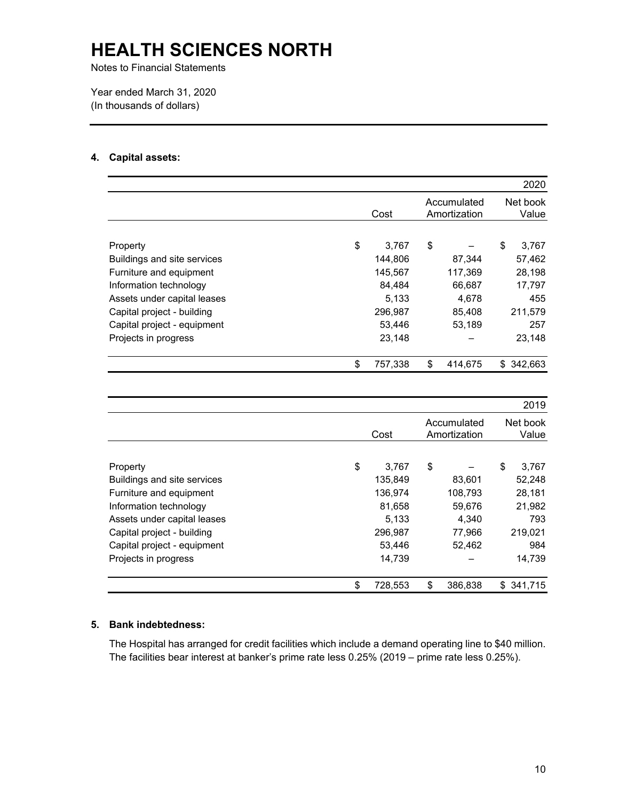Notes to Financial Statements

Year ended March 31, 2020 (In thousands of dollars)

### **4. Capital assets:**

|                             |               |                             |         |                   | 2020    |
|-----------------------------|---------------|-----------------------------|---------|-------------------|---------|
|                             | Cost          | Accumulated<br>Amortization |         | Net book<br>Value |         |
| Property                    | \$<br>3,767   | \$                          |         | \$                | 3,767   |
| Buildings and site services | 144,806       |                             | 87,344  |                   | 57,462  |
| Furniture and equipment     | 145,567       |                             | 117,369 |                   | 28,198  |
| Information technology      | 84,484        |                             | 66,687  |                   | 17,797  |
| Assets under capital leases | 5,133         |                             | 4,678   |                   | 455     |
| Capital project - building  | 296,987       |                             | 85,408  |                   | 211,579 |
| Capital project - equipment | 53,446        |                             | 53,189  |                   | 257     |
| Projects in progress        | 23,148        |                             |         |                   | 23,148  |
|                             | \$<br>757,338 | \$                          | 414,675 | \$                | 342,663 |

|                             |               |                             |         | 2019              |
|-----------------------------|---------------|-----------------------------|---------|-------------------|
|                             | Cost          | Accumulated<br>Amortization |         | Net book<br>Value |
| Property                    | \$<br>3.767   | \$                          |         | \$<br>3,767       |
| Buildings and site services | 135,849       |                             | 83,601  | 52,248            |
| Furniture and equipment     | 136,974       |                             | 108,793 | 28,181            |
| Information technology      | 81,658        |                             | 59,676  | 21,982            |
| Assets under capital leases | 5.133         |                             | 4.340   | 793               |
| Capital project - building  | 296,987       |                             | 77,966  | 219,021           |
| Capital project - equipment | 53.446        |                             | 52,462  | 984               |
| Projects in progress        | 14,739        |                             |         | 14,739            |
|                             | \$<br>728,553 | \$                          | 386.838 | \$341.715         |

### **5. Bank indebtedness:**

The Hospital has arranged for credit facilities which include a demand operating line to \$40 million. The facilities bear interest at banker's prime rate less 0.25% (2019 – prime rate less 0.25%).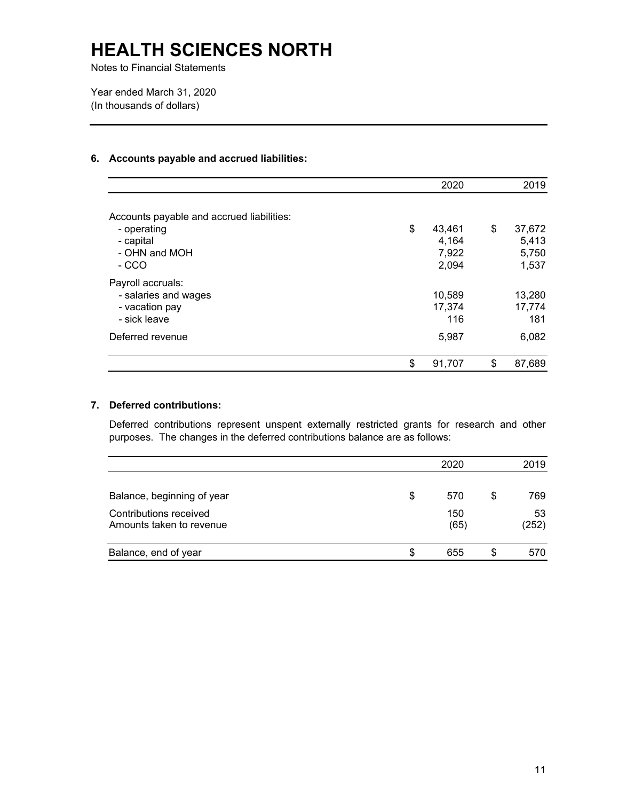Notes to Financial Statements

Year ended March 31, 2020 (In thousands of dollars)

#### **6. Accounts payable and accrued liabilities:**

|                                           | 2020         | 2019         |
|-------------------------------------------|--------------|--------------|
| Accounts payable and accrued liabilities: |              |              |
| - operating                               | \$<br>43,461 | \$<br>37,672 |
| - capital                                 | 4,164        | 5,413        |
| - OHN and MOH                             | 7,922        | 5,750        |
| - CCO                                     | 2,094        | 1,537        |
| Payroll accruals:                         |              |              |
| - salaries and wages                      | 10,589       | 13,280       |
| - vacation pay                            | 17,374       | 17,774       |
| - sick leave                              | 116          | 181          |
| Deferred revenue                          | 5,987        | 6,082        |
|                                           | \$<br>91,707 | \$<br>87,689 |

#### **7. Deferred contributions:**

Deferred contributions represent unspent externally restricted grants for research and other purposes. The changes in the deferred contributions balance are as follows:

|                                                    |     | 2020        |    | 2019        |
|----------------------------------------------------|-----|-------------|----|-------------|
| Balance, beginning of year                         | \$  | 570         | \$ | 769         |
| Contributions received<br>Amounts taken to revenue |     | 150<br>(65) |    | 53<br>(252) |
| Balance, end of year                               | \$. | 655         | S  | 570         |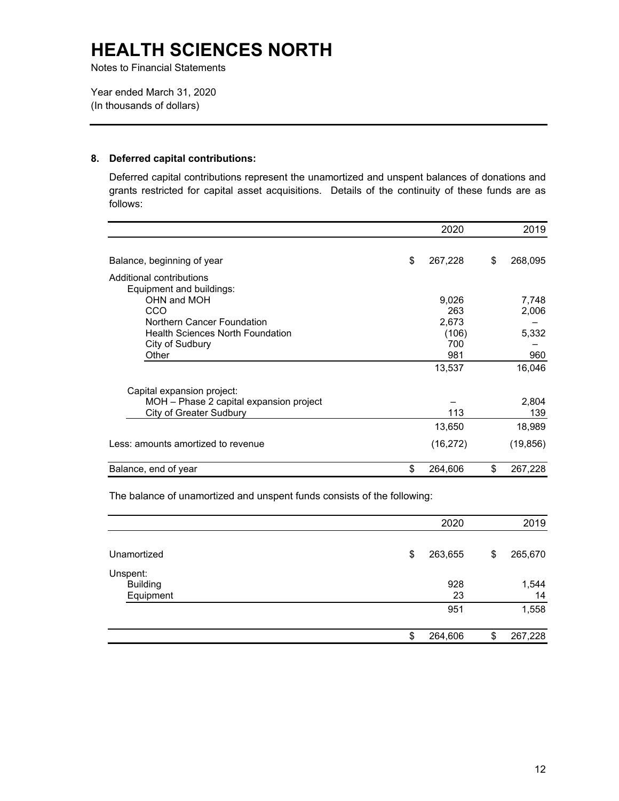Notes to Financial Statements

Year ended March 31, 2020 (In thousands of dollars)

#### **8. Deferred capital contributions:**

Deferred capital contributions represent the unamortized and unspent balances of donations and grants restricted for capital asset acquisitions. Details of the continuity of these funds are as follows:

|                                         | 2020          | 2019          |
|-----------------------------------------|---------------|---------------|
| Balance, beginning of year              | \$<br>267,228 | \$<br>268,095 |
| Additional contributions                |               |               |
| Equipment and buildings:<br>OHN and MOH | 9,026         | 7,748         |
| CCO                                     | 263           | 2,006         |
| Northern Cancer Foundation              | 2,673         |               |
| <b>Health Sciences North Foundation</b> | (106)         | 5,332         |
| City of Sudbury                         | 700           |               |
| Other                                   | 981           | 960           |
|                                         | 13,537        | 16,046        |
| Capital expansion project:              |               |               |
| MOH - Phase 2 capital expansion project |               | 2,804         |
| City of Greater Sudbury                 | 113           | 139           |
|                                         | 13,650        | 18,989        |
| Less: amounts amortized to revenue      | (16, 272)     | (19, 856)     |
| Balance, end of year                    | \$<br>264,606 | \$<br>267,228 |

The balance of unamortized and unspent funds consists of the following:

|                                          | 2020          | 2019          |
|------------------------------------------|---------------|---------------|
| Unamortized                              | \$<br>263,655 | \$<br>265,670 |
| Unspent:<br><b>Building</b><br>Equipment | 928<br>23     | 1,544<br>14   |
|                                          | 951           | 1,558         |
|                                          | \$<br>264,606 | \$<br>267,228 |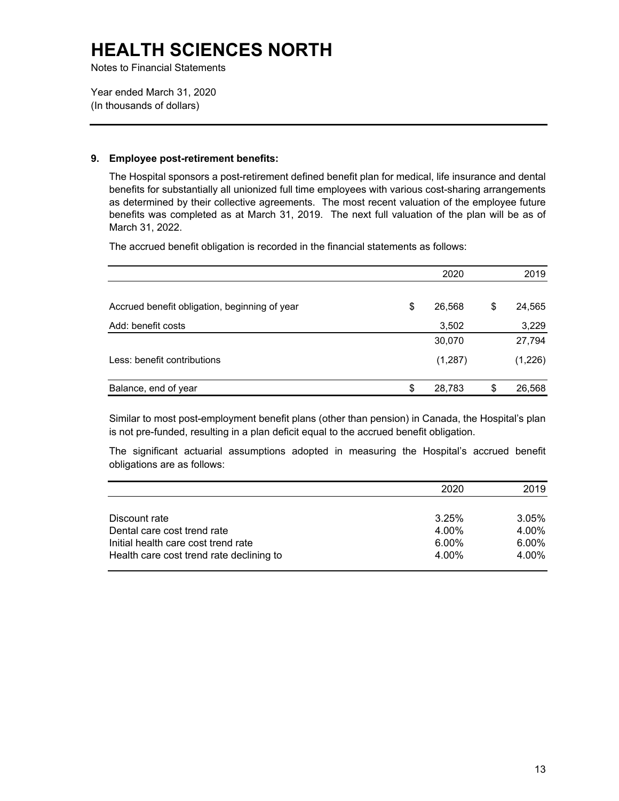Notes to Financial Statements

Year ended March 31, 2020 (In thousands of dollars)

#### **9. Employee post-retirement benefits:**

The Hospital sponsors a post-retirement defined benefit plan for medical, life insurance and dental benefits for substantially all unionized full time employees with various cost-sharing arrangements as determined by their collective agreements. The most recent valuation of the employee future benefits was completed as at March 31, 2019. The next full valuation of the plan will be as of March 31, 2022.

The accrued benefit obligation is recorded in the financial statements as follows:

|                                               | 2020         |    | 2019    |
|-----------------------------------------------|--------------|----|---------|
|                                               |              |    |         |
| Accrued benefit obligation, beginning of year | \$<br>26,568 | \$ | 24,565  |
| Add: benefit costs                            | 3,502        |    | 3,229   |
|                                               | 30,070       |    | 27,794  |
| Less: benefit contributions                   | (1, 287)     |    | (1,226) |
| Balance, end of year                          | \$<br>28,783 | S  | 26,568  |

Similar to most post-employment benefit plans (other than pension) in Canada, the Hospital's plan is not pre-funded, resulting in a plan deficit equal to the accrued benefit obligation.

The significant actuarial assumptions adopted in measuring the Hospital's accrued benefit obligations are as follows:

|                                          | 2020  | 2019     |
|------------------------------------------|-------|----------|
|                                          |       |          |
| Discount rate                            | 3.25% | $3.05\%$ |
| Dental care cost trend rate              | 4.00% | 4.00%    |
| Initial health care cost trend rate      | 6.00% | $6.00\%$ |
| Health care cost trend rate declining to | 4.00% | 4.00%    |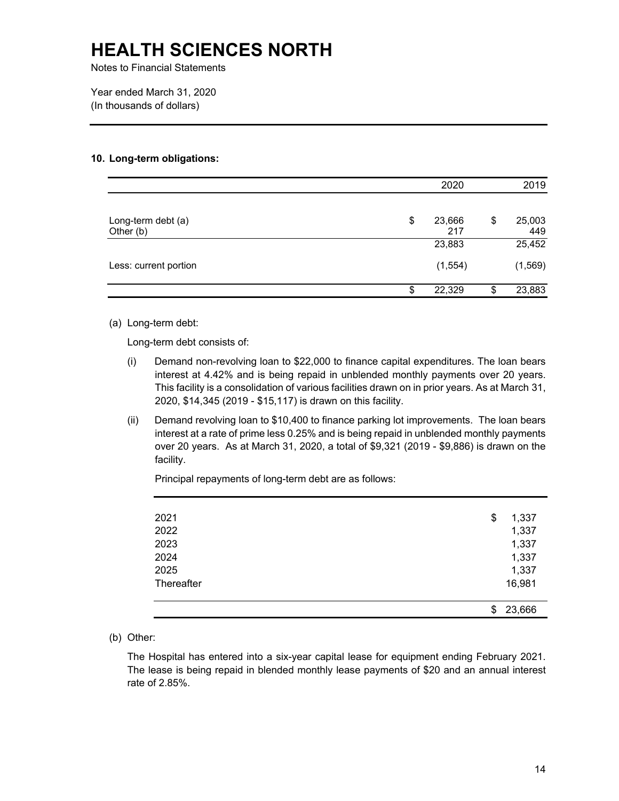Notes to Financial Statements

Year ended March 31, 2020 (In thousands of dollars)

#### **10. Long-term obligations:**

|                                 | 2020                |    | 2019          |
|---------------------------------|---------------------|----|---------------|
| Long-term debt (a)<br>Other (b) | \$<br>23,666<br>217 | \$ | 25,003<br>449 |
|                                 | 23,883              |    | 25,452        |
| Less: current portion           | (1, 554)            |    | (1, 569)      |
|                                 | \$<br>22,329        | S  | 23,883        |

(a) Long-term debt:

Long-term debt consists of:

- interest at 4.42% and is being repaid in unblended monthly payments over 20 years. (i) Demand non-revolving loan to \$22,000 to finance capital expenditures. The loan bears This facility is a consolidation of various facilities drawn on in prior years. As at March 31, 2020, \$14,345 (2019 - \$15,117) is drawn on this facility.
- (ii) Demand revolving loan to \$10,400 to finance parking lot improvements. The loan bears interest at a rate of prime less 0.25% and is being repaid in unblended monthly payments over 20 years. As at March 31, 2020, a total of \$9,321 (2019 - \$9,886) is drawn on the facility.

Principal repayments of long-term debt are as follows:

| 2021       | \$<br>1,337  |
|------------|--------------|
| 2022       | 1,337        |
| 2023       | 1,337        |
| 2024       | 1,337        |
| 2025       | 1,337        |
| Thereafter | 16,981       |
|            |              |
|            | \$<br>23,666 |

(b) Other:

The Hospital has entered into a six-year capital lease for equipment ending February 2021. The lease is being repaid in blended monthly lease payments of \$20 and an annual interest rate of 2.85%.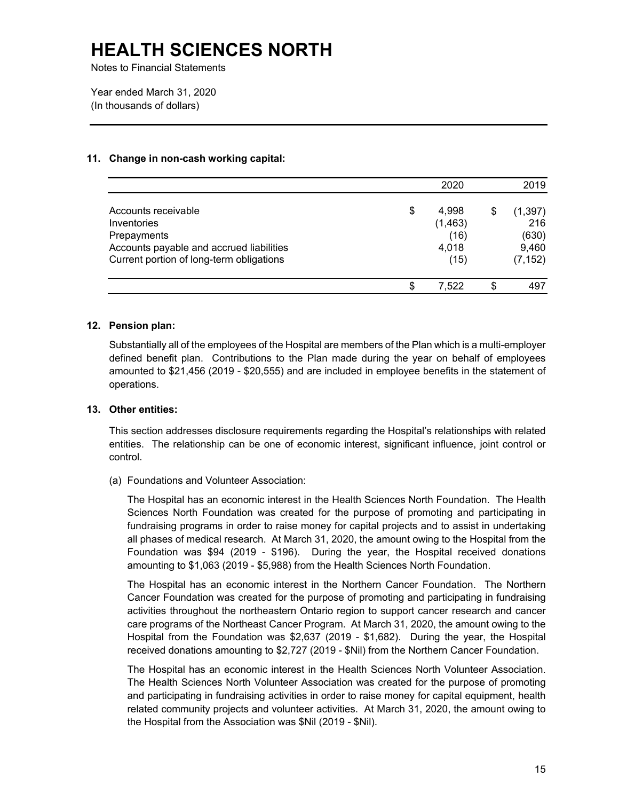Notes to Financial Statements

Year ended March 31, 2020 (In thousands of dollars)

#### **11. Change in non-cash working capital:**

|                                          |    | 2020    |    | 2019     |
|------------------------------------------|----|---------|----|----------|
| Accounts receivable                      | \$ | 4,998   | \$ | (1, 397) |
| Inventories                              |    | (1,463) |    | 216      |
| Prepayments                              |    | (16)    |    | (630)    |
| Accounts payable and accrued liabilities |    | 4,018   |    | 9,460    |
| Current portion of long-term obligations |    | (15)    |    | (7, 152) |
|                                          | S  | 7.522   | S  | 497      |

#### **12. Pension plan:**

Substantially all of the employees of the Hospital are members of the Plan which is a multi-employer defined benefit plan. Contributions to the Plan made during the year on behalf of employees amounted to \$21,456 (2019 - \$20,555) and are included in employee benefits in the statement of operations.

#### **13. Other entities:**

This section addresses disclosure requirements regarding the Hospital's relationships with related entities. The relationship can be one of economic interest, significant influence, joint control or control.

(a) Foundations and Volunteer Association:

The Hospital has an economic interest in the Health Sciences North Foundation. The Health Sciences North Foundation was created for the purpose of promoting and participating in fundraising programs in order to raise money for capital projects and to assist in undertaking all phases of medical research. At March 31, 2020, the amount owing to the Hospital from the Foundation was \$94 (2019 - \$196). During the year, the Hospital received donations amounting to \$1,063 (2019 - \$5,988) from the Health Sciences North Foundation.

The Hospital has an economic interest in the Northern Cancer Foundation. The Northern Cancer Foundation was created for the purpose of promoting and participating in fundraising activities throughout the northeastern Ontario region to support cancer research and cancer care programs of the Northeast Cancer Program. At March 31, 2020, the amount owing to the Hospital from the Foundation was \$2,637 (2019 - \$1,682). During the year, the Hospital received donations amounting to \$2,727 (2019 - \$Nil) from the Northern Cancer Foundation.

The Hospital has an economic interest in the Health Sciences North Volunteer Association. The Health Sciences North Volunteer Association was created for the purpose of promoting and participating in fundraising activities in order to raise money for capital equipment, health related community projects and volunteer activities. At March 31, 2020, the amount owing to the Hospital from the Association was \$Nil (2019 - \$Nil).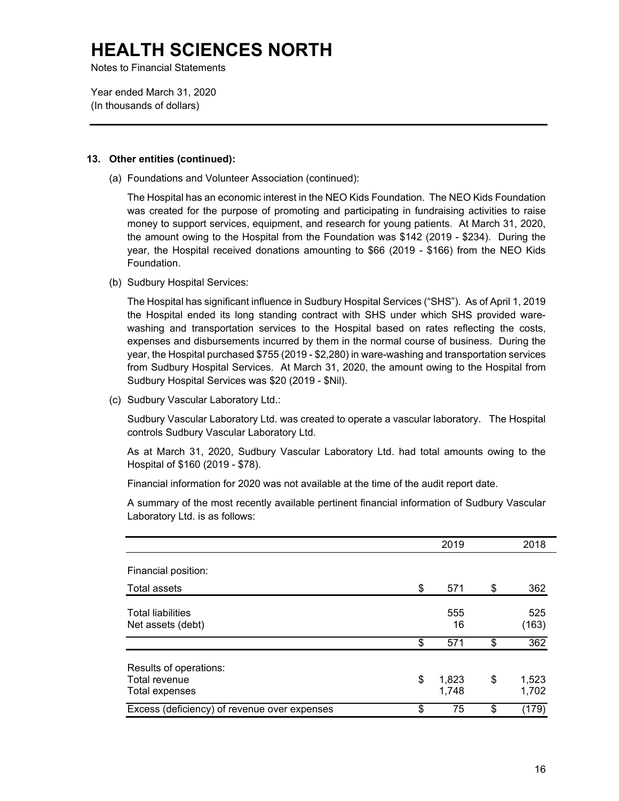Notes to Financial Statements

Year ended March 31, 2020 (In thousands of dollars)

#### **13. Other entities (continued):**

(a) Foundations and Volunteer Association (continued):

The Hospital has an economic interest in the NEO Kids Foundation. The NEO Kids Foundation was created for the purpose of promoting and participating in fundraising activities to raise money to support services, equipment, and research for young patients. At March 31, 2020, the amount owing to the Hospital from the Foundation was \$142 (2019 - \$234). During the year, the Hospital received donations amounting to \$66 (2019 - \$166) from the NEO Kids Foundation.

(b) Sudbury Hospital Services:

The Hospital has significant influence in Sudbury Hospital Services ("SHS"). As of April 1, 2019 the Hospital ended its long standing contract with SHS under which SHS provided warewashing and transportation services to the Hospital based on rates reflecting the costs, expenses and disbursements incurred by them in the normal course of business. During the year, the Hospital purchased \$755 (2019 - \$2,280) in ware-washing and transportation services from Sudbury Hospital Services. At March 31, 2020, the amount owing to the Hospital from Sudbury Hospital Services was \$20 (2019 - \$Nil).

(c) Sudbury Vascular Laboratory Ltd.:

Sudbury Vascular Laboratory Ltd. was created to operate a vascular laboratory. The Hospital controls Sudbury Vascular Laboratory Ltd.

As at March 31, 2020, Sudbury Vascular Laboratory Ltd. had total amounts owing to the Hospital of \$160 (2019 - \$78).

Financial information for 2020 was not available at the time of the audit report date.

A summary of the most recently available pertinent financial information of Sudbury Vascular Laboratory Ltd. is as follows:

|                                                           | 2019                 | 2018                 |  |
|-----------------------------------------------------------|----------------------|----------------------|--|
|                                                           |                      |                      |  |
| Financial position:                                       |                      |                      |  |
| Total assets                                              | \$<br>571            | \$<br>362            |  |
| <b>Total liabilities</b><br>Net assets (debt)             | 555<br>16            | 525<br>(163)         |  |
|                                                           | \$<br>571            | \$<br>362            |  |
| Results of operations:<br>Total revenue<br>Total expenses | \$<br>1,823<br>1,748 | \$<br>1,523<br>1,702 |  |
| Excess (deficiency) of revenue over expenses              | \$<br>75             | \$<br>(179)          |  |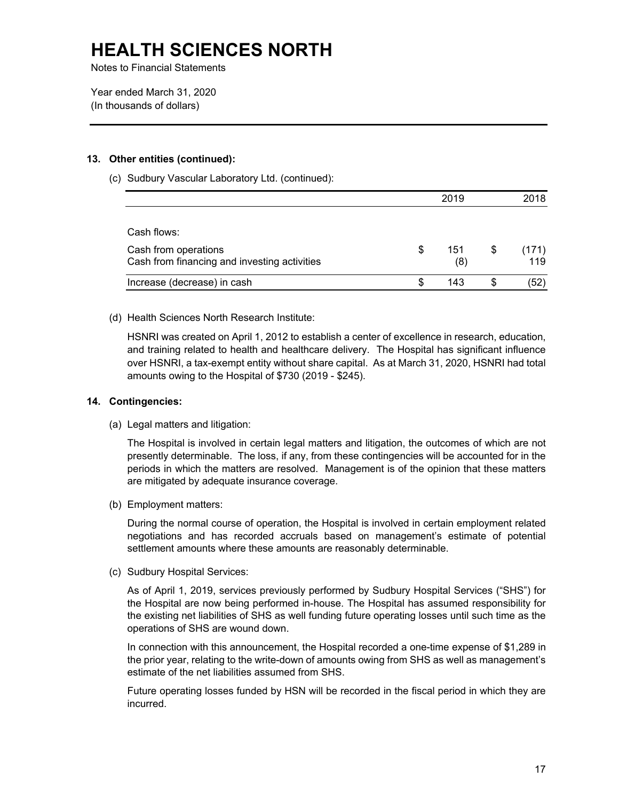Notes to Financial Statements

Year ended March 31, 2020 (In thousands of dollars)

#### **13. Other entities (continued):**

(c) Sudbury Vascular Laboratory Ltd. (continued):

|                                                                      |    | 2019       | 2018               |
|----------------------------------------------------------------------|----|------------|--------------------|
|                                                                      |    |            |                    |
| Cash flows:                                                          |    |            |                    |
| Cash from operations<br>Cash from financing and investing activities | \$ | 151<br>(8) | \$<br>(171)<br>119 |
| Increase (decrease) in cash                                          | S  | 143        | (52)               |

(d) Health Sciences North Research Institute:

 amounts owing to the Hospital of \$730 (2019 - \$245). HSNRI was created on April 1, 2012 to establish a center of excellence in research, education, and training related to health and healthcare delivery. The Hospital has significant influence over HSNRI, a tax-exempt entity without share capital. As at March 31, 2020, HSNRI had total

#### **14. Contingencies:**

(a) Legal matters and litigation:

The Hospital is involved in certain legal matters and litigation, the outcomes of which are not presently determinable. The loss, if any, from these contingencies will be accounted for in the periods in which the matters are resolved. Management is of the opinion that these matters are mitigated by adequate insurance coverage.

(b) Employment matters:

During the normal course of operation, the Hospital is involved in certain employment related negotiations and has recorded accruals based on management's estimate of potential settlement amounts where these amounts are reasonably determinable.

(c) Sudbury Hospital Services:

As of April 1, 2019, services previously performed by Sudbury Hospital Services ("SHS") for the Hospital are now being performed in-house. The Hospital has assumed responsibility for the existing net liabilities of SHS as well funding future operating losses until such time as the operations of SHS are wound down.

In connection with this announcement, the Hospital recorded a one-time expense of \$1,289 in the prior year, relating to the write-down of amounts owing from SHS as well as management's estimate of the net liabilities assumed from SHS.

Future operating losses funded by HSN will be recorded in the fiscal period in which they are incurred.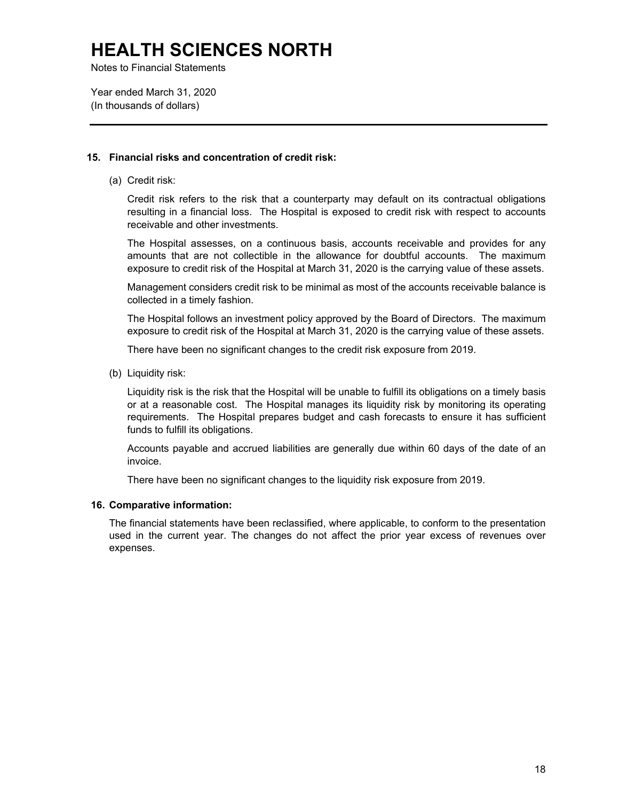Notes to Financial Statements

Year ended March 31, 2020 (In thousands of dollars)

#### **15. Financial risks and concentration of credit risk:**

(a) Credit risk:

Credit risk refers to the risk that a counterparty may default on its contractual obligations resulting in a financial loss. The Hospital is exposed to credit risk with respect to accounts receivable and other investments.

The Hospital assesses, on a continuous basis, accounts receivable and provides for any amounts that are not collectible in the allowance for doubtful accounts. The maximum exposure to credit risk of the Hospital at March 31, 2020 is the carrying value of these assets.

Management considers credit risk to be minimal as most of the accounts receivable balance is collected in a timely fashion.

The Hospital follows an investment policy approved by the Board of Directors. The maximum exposure to credit risk of the Hospital at March 31, 2020 is the carrying value of these assets.

There have been no significant changes to the credit risk exposure from 2019.

(b) Liquidity risk:

Liquidity risk is the risk that the Hospital will be unable to fulfill its obligations on a timely basis or at a reasonable cost. The Hospital manages its liquidity risk by monitoring its operating requirements. The Hospital prepares budget and cash forecasts to ensure it has sufficient funds to fulfill its obligations.

Accounts payable and accrued liabilities are generally due within 60 days of the date of an invoice.

There have been no significant changes to the liquidity risk exposure from 2019.

#### **16. Comparative information:**

The financial statements have been reclassified, where applicable, to conform to the presentation used in the current year. The changes do not affect the prior year excess of revenues over expenses.